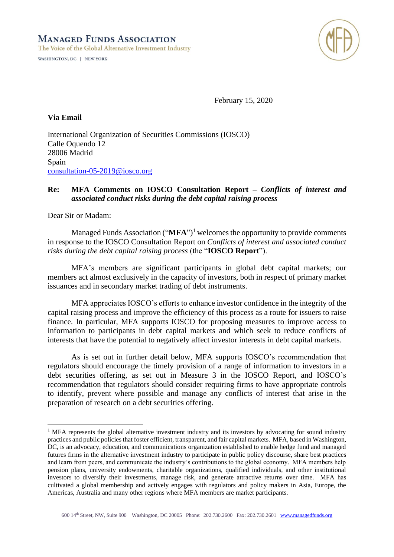



February 15, 2020

## **Via Email**

International Organization of Securities Commissions (IOSCO) Calle Oquendo 12 28006 Madrid Spain [consultation-05-2019@iosco.org](mailto:consultation-05-2019@iosco.org)

## **Re: MFA Comments on IOSCO Consultation Report –** *Conflicts of interest and associated conduct risks during the debt capital raising process*

Dear Sir or Madam:

Managed Funds Association ("**MFA**") <sup>1</sup> welcomes the opportunity to provide comments in response to the IOSCO Consultation Report on *Conflicts of interest and associated conduct risks during the debt capital raising process* (the "**IOSCO Report**").

MFA's members are significant participants in global debt capital markets; our members act almost exclusively in the capacity of investors, both in respect of primary market issuances and in secondary market trading of debt instruments.

MFA appreciates IOSCO's efforts to enhance investor confidence in the integrity of the capital raising process and improve the efficiency of this process as a route for issuers to raise finance. In particular, MFA supports IOSCO for proposing measures to improve access to information to participants in debt capital markets and which seek to reduce conflicts of interests that have the potential to negatively affect investor interests in debt capital markets.

As is set out in further detail below, MFA supports IOSCO's recommendation that regulators should encourage the timely provision of a range of information to investors in a debt securities offering, as set out in Measure 3 in the IOSCO Report, and IOSCO's recommendation that regulators should consider requiring firms to have appropriate controls to identify, prevent where possible and manage any conflicts of interest that arise in the preparation of research on a debt securities offering.

<sup>&</sup>lt;sup>1</sup> MFA represents the global alternative investment industry and its investors by advocating for sound industry practices and public policies that foster efficient, transparent, and fair capital markets. MFA, based in Washington, DC, is an advocacy, education, and communications organization established to enable hedge fund and managed futures firms in the alternative investment industry to participate in public policy discourse, share best practices and learn from peers, and communicate the industry's contributions to the global economy. MFA members help pension plans, university endowments, charitable organizations, qualified individuals, and other institutional investors to diversify their investments, manage risk, and generate attractive returns over time. MFA has cultivated a global membership and actively engages with regulators and policy makers in Asia, Europe, the Americas, Australia and many other regions where MFA members are market participants.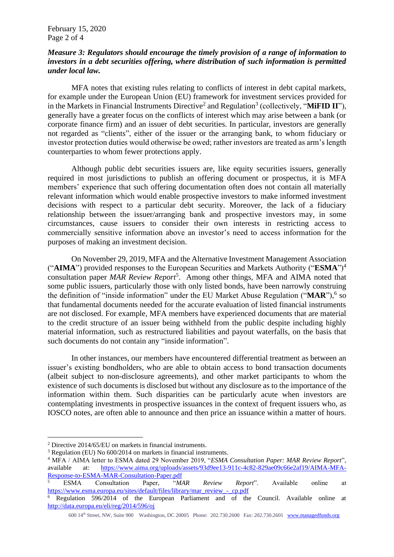## *Measure 3: Regulators should encourage the timely provision of a range of information to investors in a debt securities offering, where distribution of such information is permitted under local law.*

MFA notes that existing rules relating to conflicts of interest in debt capital markets, for example under the European Union (EU) framework for investment services provided for in the Markets in Financial Instruments Directive<sup>2</sup> and Regulation<sup>3</sup> (collectively, "MiFID II"), generally have a greater focus on the conflicts of interest which may arise between a bank (or corporate finance firm) and an issuer of debt securities. In particular, investors are generally not regarded as "clients", either of the issuer or the arranging bank, to whom fiduciary or investor protection duties would otherwise be owed; rather investors are treated as arm's length counterparties to whom fewer protections apply.

Although public debt securities issuers are, like equity securities issuers, generally required in most jurisdictions to publish an offering document or prospectus, it is MFA members' experience that such offering documentation often does not contain all materially relevant information which would enable prospective investors to make informed investment decisions with respect to a particular debt security. Moreover, the lack of a fiduciary relationship between the issuer/arranging bank and prospective investors may, in some circumstances, cause issuers to consider their own interests in restricting access to commercially sensitive information above an investor's need to access information for the purposes of making an investment decision.

On November 29, 2019, MFA and the Alternative Investment Management Association ("**AIMA**") provided responses to the European Securities and Markets Authority ("**ESMA**")<sup>4</sup> consultation paper *MAR Review Report*<sup>5</sup> . Among other things, MFA and AIMA noted that some public issuers, particularly those with only listed bonds, have been narrowly construing the definition of "inside information" under the EU Market Abuse Regulation ("MAR"),<sup>6</sup> so that fundamental documents needed for the accurate evaluation of listed financial instruments are not disclosed. For example, MFA members have experienced documents that are material to the credit structure of an issuer being withheld from the public despite including highly material information, such as restructured liabilities and payout waterfalls, on the basis that such documents do not contain any "inside information".

In other instances, our members have encountered differential treatment as between an issuer's existing bondholders, who are able to obtain access to bond transaction documents (albeit subject to non-disclosure agreements), and other market participants to whom the existence of such documents is disclosed but without any disclosure as to the importance of the information within them. Such disparities can be particularly acute when investors are contemplating investments in prospective issuances in the context of frequent issuers who, as IOSCO notes, are often able to announce and then price an issuance within a matter of hours.

<sup>2</sup> Directive 2014/65/EU on markets in financial instruments.

<sup>3</sup> Regulation (EU) No 600/2014 on markets in financial instruments.

<sup>4</sup> MFA / AIMA letter to ESMA dated 29 November 2019, "*ESMA Consultation Paper: MAR Review Report*", available at: [https://www.aima.org/uploads/assets/93d9ee13-911c-4c82-829ae09c66e2af19/AIMA-MFA-](https://www.aima.org/uploads/assets/93d9ee13-911c-4c82-829ae09c66e2af19/AIMA-MFA-Response-to-ESMA-MAR-Consultation-Paper.pdf)[Response-to-ESMA-MAR-Consultation-Paper.pdf](https://www.aima.org/uploads/assets/93d9ee13-911c-4c82-829ae09c66e2af19/AIMA-MFA-Response-to-ESMA-MAR-Consultation-Paper.pdf)

<sup>5</sup> ESMA Consultation Paper, "*MAR Review Report*". Available online at [https://www.esma.europa.eu/sites/default/files/library/mar\\_review\\_-\\_cp.pdf](https://www.esma.europa.eu/sites/default/files/library/mar_review_-_cp.pdf)

<sup>6</sup> Regulation 596/2014 of the European Parliament and of the Council. Available online at <http://data.europa.eu/eli/reg/2014/596/oj>

<sup>600 14</sup>th Street, NW, Suite 900 Washington, DC 20005 Phone: 202.730.2600 Fax: 202.730.2601 [www.managedfunds.org](http://www.managedfunds.org/)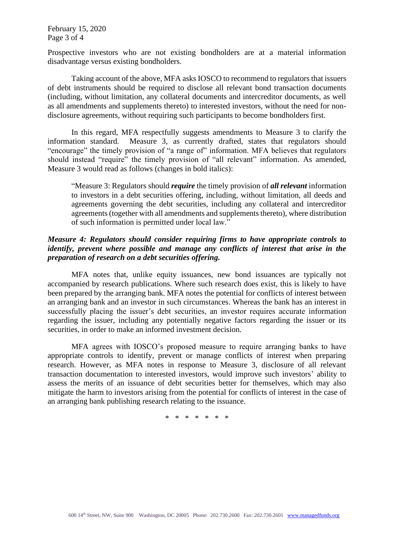Prospective investors who are not existing bondholders are at a material information disadvantage versus existing bondholders.

Taking account of the above, MFA asks IOSCO to recommend to regulators that issuers of debt instruments should be required to disclose all relevant bond transaction documents (including, without limitation, any collateral documents and intercreditor documents, as well as all amendments and supplements thereto) to interested investors, without the need for nondisclosure agreements, without requiring such participants to become bondholders first.

In this regard, MFA respectfully suggests amendments to Measure 3 to clarify the information standard. Measure 3, as currently drafted, states that regulators should "encourage" the timely provision of "a range of" information. MFA believes that regulators should instead "require" the timely provision of "all relevant" information. As amended, Measure 3 would read as follows (changes in bold italics):

"Measure 3: Regulators should *require* the timely provision of *all relevant* information to investors in a debt securities offering, including, without limitation, all deeds and agreements governing the debt securities, including any collateral and intercreditor agreements (together with all amendments and supplements thereto), where distribution of such information is permitted under local law."

## *Measure 4: Regulators should consider requiring firms to have appropriate controls to identify, prevent where possible and manage any conflicts of interest that arise in the preparation of research on a debt securities offering.*

MFA notes that, unlike equity issuances, new bond issuances are typically not accompanied by research publications. Where such research does exist, this is likely to have been prepared by the arranging bank. MFA notes the potential for conflicts of interest between an arranging bank and an investor in such circumstances. Whereas the bank has an interest in successfully placing the issuer's debt securities, an investor requires accurate information regarding the issuer, including any potentially negative factors regarding the issuer or its securities, in order to make an informed investment decision.

MFA agrees with IOSCO's proposed measure to require arranging banks to have appropriate controls to identify, prevent or manage conflicts of interest when preparing research. However, as MFA notes in response to Measure 3, disclosure of all relevant transaction documentation to interested investors, would improve such investors' ability to assess the merits of an issuance of debt securities better for themselves, which may also mitigate the harm to investors arising from the potential for conflicts of interest in the case of an arranging bank publishing research relating to the issuance.

\* \* \* \* \* \* \*